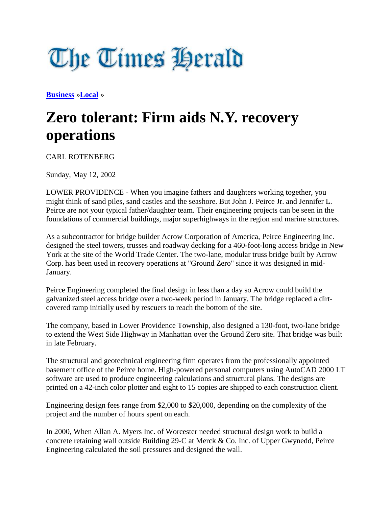## The Times **Berald**

**[Business](http://www.timesherald.com/section/FINANCE)** »**[Local](http://www.timesherald.com/section/FINANCE01)** »

## **Zero tolerant: Firm aids N.Y. recovery operations**

CARL ROTENBERG

Sunday, May 12, 2002

LOWER PROVIDENCE - When you imagine fathers and daughters working together, you might think of sand piles, sand castles and the seashore. But John J. Peirce Jr. and Jennifer L. Peirce are not your typical father/daughter team. Their engineering projects can be seen in the foundations of commercial buildings, major superhighways in the region and marine structures.

As a subcontractor for bridge builder Acrow Corporation of America, Peirce Engineering Inc. designed the steel towers, trusses and roadway decking for a 460-foot-long access bridge in New York at the site of the World Trade Center. The two-lane, modular truss bridge built by Acrow Corp. has been used in recovery operations at "Ground Zero" since it was designed in mid-January.

Peirce Engineering completed the final design in less than a day so Acrow could build the galvanized steel access bridge over a two-week period in January. The bridge replaced a dirtcovered ramp initially used by rescuers to reach the bottom of the site.

The company, based in Lower Providence Township, also designed a 130-foot, two-lane bridge to extend the West Side Highway in Manhattan over the Ground Zero site. That bridge was built in late February.

The structural and geotechnical engineering firm operates from the professionally appointed basement office of the Peirce home. High-powered personal computers using AutoCAD 2000 LT software are used to produce engineering calculations and structural plans. The designs are printed on a 42-inch color plotter and eight to 15 copies are shipped to each construction client.

Engineering design fees range from \$2,000 to \$20,000, depending on the complexity of the project and the number of hours spent on each.

In 2000, When Allan A. Myers Inc. of Worcester needed structural design work to build a concrete retaining wall outside Building 29-C at Merck & Co. Inc. of Upper Gwynedd, Peirce Engineering calculated the soil pressures and designed the wall.